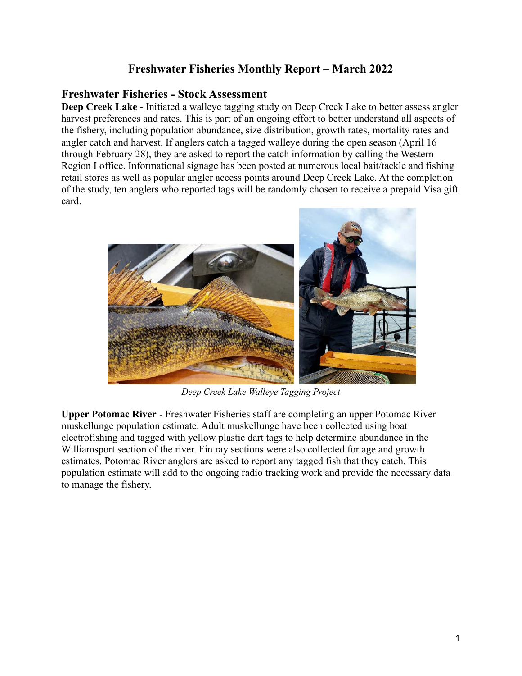## **Freshwater Fisheries Monthly Report – March 2022**

#### **Freshwater Fisheries - Stock Assessment**

**Deep Creek Lake** - Initiated a walleye tagging study on Deep Creek Lake to better assess angler harvest preferences and rates. This is part of an ongoing effort to better understand all aspects of the fishery, including population abundance, size distribution, growth rates, mortality rates and angler catch and harvest. If anglers catch a tagged walleye during the open season (April 16 through February 28), they are asked to report the catch information by calling the Western Region I office. Informational signage has been posted at numerous local bait/tackle and fishing retail stores as well as popular angler access points around Deep Creek Lake. At the completion of the study, ten anglers who reported tags will be randomly chosen to receive a prepaid Visa gift card.



*Deep Creek Lake Walleye Tagging Project*

**Upper Potomac River** - Freshwater Fisheries staff are completing an upper Potomac River muskellunge population estimate. Adult muskellunge have been collected using boat electrofishing and tagged with yellow plastic dart tags to help determine abundance in the Williamsport section of the river. Fin ray sections were also collected for age and growth estimates. Potomac River anglers are asked to report any tagged fish that they catch. This population estimate will add to the ongoing radio tracking work and provide the necessary data to manage the fishery.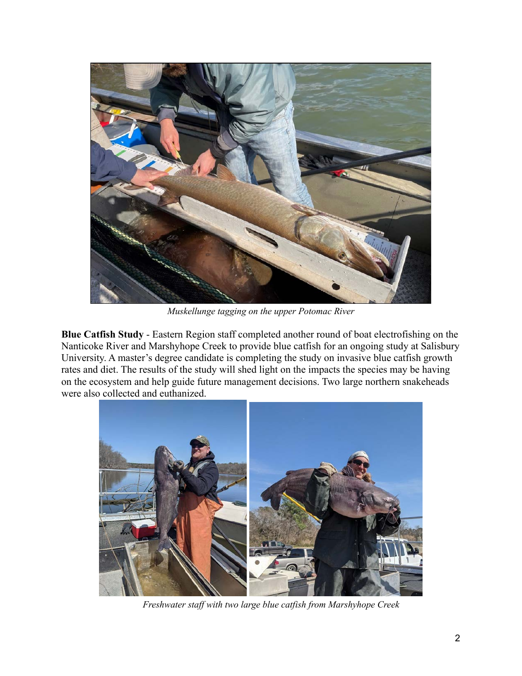

*Muskellunge tagging on the upper Potomac River*

**Blue Catfish Study** - Eastern Region staff completed another round of boat electrofishing on the Nanticoke River and Marshyhope Creek to provide blue catfish for an ongoing study at Salisbury University. A master's degree candidate is completing the study on invasive blue catfish growth rates and diet. The results of the study will shed light on the impacts the species may be having on the ecosystem and help guide future management decisions. Two large northern snakeheads were also collected and euthanized.



*Freshwater staff with two large blue catfish from Marshyhope Creek*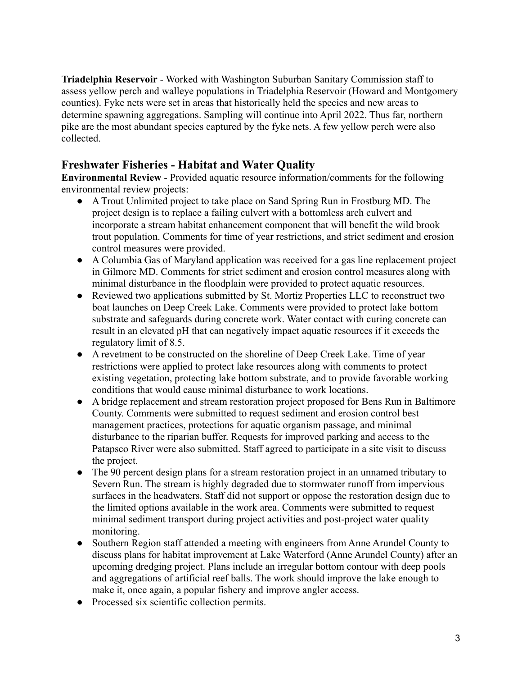**Triadelphia Reservoir** - Worked with Washington Suburban Sanitary Commission staff to assess yellow perch and walleye populations in Triadelphia Reservoir (Howard and Montgomery counties). Fyke nets were set in areas that historically held the species and new areas to determine spawning aggregations. Sampling will continue into April 2022. Thus far, northern pike are the most abundant species captured by the fyke nets. A few yellow perch were also collected.

# **Freshwater Fisheries - Habitat and Water Quality**

**Environmental Review** - Provided aquatic resource information/comments for the following environmental review projects:

- A Trout Unlimited project to take place on Sand Spring Run in Frostburg MD. The project design is to replace a failing culvert with a bottomless arch culvert and incorporate a stream habitat enhancement component that will benefit the wild brook trout population. Comments for time of year restrictions, and strict sediment and erosion control measures were provided.
- A Columbia Gas of Maryland application was received for a gas line replacement project in Gilmore MD. Comments for strict sediment and erosion control measures along with minimal disturbance in the floodplain were provided to protect aquatic resources.
- Reviewed two applications submitted by St. Mortiz Properties LLC to reconstruct two boat launches on Deep Creek Lake. Comments were provided to protect lake bottom substrate and safeguards during concrete work. Water contact with curing concrete can result in an elevated pH that can negatively impact aquatic resources if it exceeds the regulatory limit of 8.5.
- A revetment to be constructed on the shoreline of Deep Creek Lake. Time of year restrictions were applied to protect lake resources along with comments to protect existing vegetation, protecting lake bottom substrate, and to provide favorable working conditions that would cause minimal disturbance to work locations.
- A bridge replacement and stream restoration project proposed for Bens Run in Baltimore County. Comments were submitted to request sediment and erosion control best management practices, protections for aquatic organism passage, and minimal disturbance to the riparian buffer. Requests for improved parking and access to the Patapsco River were also submitted. Staff agreed to participate in a site visit to discuss the project.
- The 90 percent design plans for a stream restoration project in an unnamed tributary to Severn Run. The stream is highly degraded due to stormwater runoff from impervious surfaces in the headwaters. Staff did not support or oppose the restoration design due to the limited options available in the work area. Comments were submitted to request minimal sediment transport during project activities and post-project water quality monitoring.
- Southern Region staff attended a meeting with engineers from Anne Arundel County to discuss plans for habitat improvement at Lake Waterford (Anne Arundel County) after an upcoming dredging project. Plans include an irregular bottom contour with deep pools and aggregations of artificial reef balls. The work should improve the lake enough to make it, once again, a popular fishery and improve angler access.
- Processed six scientific collection permits.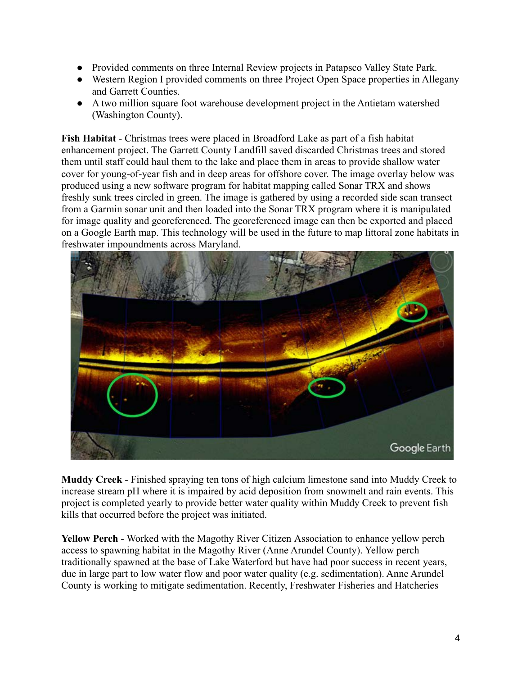- Provided comments on three Internal Review projects in Patapsco Valley State Park.
- Western Region I provided comments on three Project Open Space properties in Allegany and Garrett Counties.
- A two million square foot warehouse development project in the Antietam watershed (Washington County).

**Fish Habitat** - Christmas trees were placed in Broadford Lake as part of a fish habitat enhancement project. The Garrett County Landfill saved discarded Christmas trees and stored them until staff could haul them to the lake and place them in areas to provide shallow water cover for young-of-year fish and in deep areas for offshore cover. The image overlay below was produced using a new software program for habitat mapping called Sonar TRX and shows freshly sunk trees circled in green. The image is gathered by using a recorded side scan transect from a Garmin sonar unit and then loaded into the Sonar TRX program where it is manipulated for image quality and georeferenced. The georeferenced image can then be exported and placed on a Google Earth map. This technology will be used in the future to map littoral zone habitats in freshwater impoundments across Maryland.



**Muddy Creek** - Finished spraying ten tons of high calcium limestone sand into Muddy Creek to increase stream pH where it is impaired by acid deposition from snowmelt and rain events. This project is completed yearly to provide better water quality within Muddy Creek to prevent fish kills that occurred before the project was initiated.

**Yellow Perch** - Worked with the Magothy River Citizen Association to enhance yellow perch access to spawning habitat in the Magothy River (Anne Arundel County). Yellow perch traditionally spawned at the base of Lake Waterford but have had poor success in recent years, due in large part to low water flow and poor water quality (e.g. sedimentation). Anne Arundel County is working to mitigate sedimentation. Recently, Freshwater Fisheries and Hatcheries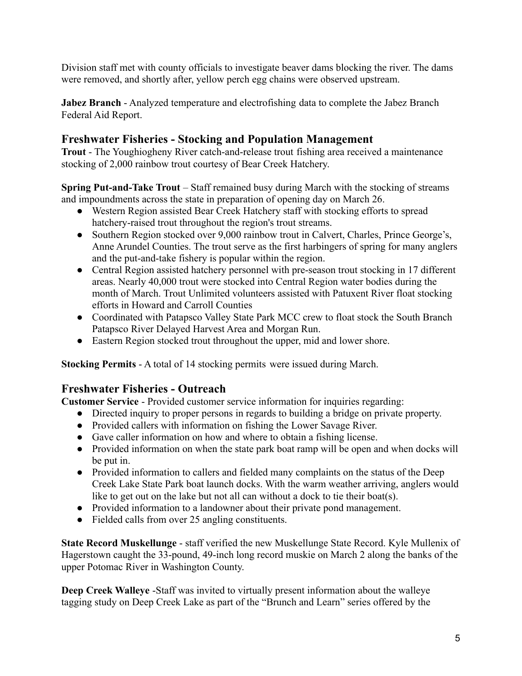Division staff met with county officials to investigate beaver dams blocking the river. The dams were removed, and shortly after, yellow perch egg chains were observed upstream.

**Jabez Branch** - Analyzed temperature and electrofishing data to complete the Jabez Branch Federal Aid Report.

## **Freshwater Fisheries - Stocking and Population Management**

**Trout** - The Youghiogheny River catch-and-release trout fishing area received a maintenance stocking of 2,000 rainbow trout courtesy of Bear Creek Hatchery.

**Spring Put-and-Take Trout** – Staff remained busy during March with the stocking of streams and impoundments across the state in preparation of opening day on March 26.

- Western Region assisted Bear Creek Hatchery staff with stocking efforts to spread hatchery-raised trout throughout the region's trout streams.
- Southern Region stocked over 9,000 rainbow trout in Calvert, Charles, Prince George's, Anne Arundel Counties. The trout serve as the first harbingers of spring for many anglers and the put-and-take fishery is popular within the region.
- Central Region assisted hatchery personnel with pre-season trout stocking in 17 different areas. Nearly 40,000 trout were stocked into Central Region water bodies during the month of March. Trout Unlimited volunteers assisted with Patuxent River float stocking efforts in Howard and Carroll Counties
- Coordinated with Patapsco Valley State Park MCC crew to float stock the South Branch Patapsco River Delayed Harvest Area and Morgan Run.
- Eastern Region stocked trout throughout the upper, mid and lower shore.

**Stocking Permits** - A total of 14 stocking permits were issued during March.

# **Freshwater Fisheries - Outreach**

**Customer Service** - Provided customer service information for inquiries regarding:

- Directed inquiry to proper persons in regards to building a bridge on private property.
- Provided callers with information on fishing the Lower Savage River.
- Gave caller information on how and where to obtain a fishing license.
- Provided information on when the state park boat ramp will be open and when docks will be put in.
- Provided information to callers and fielded many complaints on the status of the Deep Creek Lake State Park boat launch docks. With the warm weather arriving, anglers would like to get out on the lake but not all can without a dock to tie their boat(s).
- Provided information to a landowner about their private pond management.
- Fielded calls from over 25 angling constituents.

**State Record Muskellunge** - staff verified the new Muskellunge State Record. Kyle Mullenix of Hagerstown caught the 33-pound, 49-inch long record muskie on March 2 along the banks of the upper Potomac River in Washington County.

**Deep Creek Walleye** -Staff was invited to virtually present information about the walleye tagging study on Deep Creek Lake as part of the "Brunch and Learn" series offered by the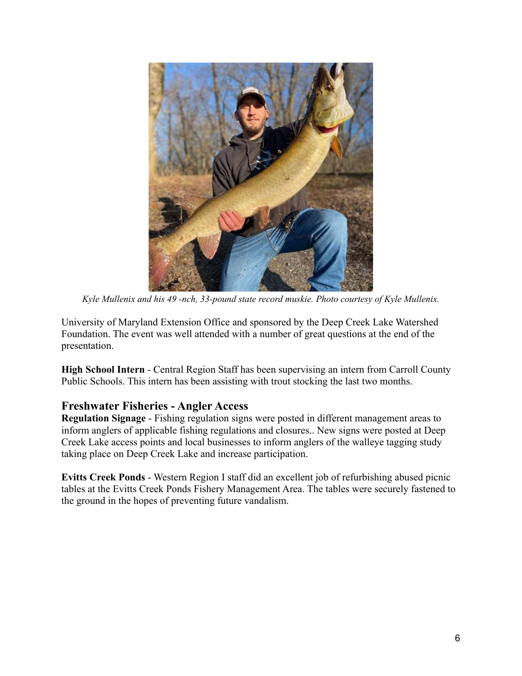

*Kyle Mullenix and his 49 -nch, 33-pound state record muskie. Photo courtesy of Kyle Mullenix.*

University of Maryland Extension Office and sponsored by the Deep Creek Lake Watershed Foundation. The event was well attended with a number of great questions at the end of the presentation.

**High School Intern** - Central Region Staff has been supervising an intern from Carroll County Public Schools. This intern has been assisting with trout stocking the last two months.

#### **Freshwater Fisheries - Angler Access**

**Regulation Signage** - Fishing regulation signs were posted in different management areas to inform anglers of applicable fishing regulations and closures.. New signs were posted at Deep Creek Lake access points and local businesses to inform anglers of the walleye tagging study taking place on Deep Creek Lake and increase participation.

**Evitts Creek Ponds** - Western Region I staff did an excellent job of refurbishing abused picnic tables at the Evitts Creek Ponds Fishery Management Area. The tables were securely fastened to the ground in the hopes of preventing future vandalism.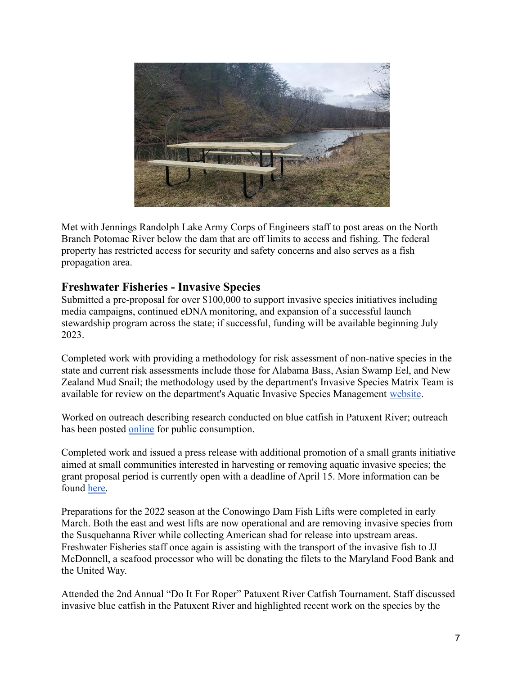

Met with Jennings Randolph Lake Army Corps of Engineers staff to post areas on the North Branch Potomac River below the dam that are off limits to access and fishing. The federal property has restricted access for security and safety concerns and also serves as a fish propagation area.

### **Freshwater Fisheries - Invasive Species**

Submitted a pre-proposal for over \$100,000 to support invasive species initiatives including media campaigns, continued eDNA monitoring, and expansion of a successful launch stewardship program across the state; if successful, funding will be available beginning July 2023.

Completed work with providing a methodology for risk assessment of non-native species in the state and current risk assessments include those for Alabama Bass, Asian Swamp Eel, and New Zealand Mud Snail; the methodology used by the department's Invasive Species Matrix Team is available for review on the department's Aquatic Invasive Species Management [website.](https://dnr.maryland.gov/fisheries/Pages/nuisance_species.aspx)

Worked on outreach describing research conducted on blue catfish in Patuxent River; outreach has been posted [online](https://dnr.maryland.gov/fisheries/Documents/PatuxentRiver_BlueCatfishStudy_ForElectronicDistribution.pdf) for public consumption.

Completed work and issued a press release with additional promotion of a small grants initiative aimed at small communities interested in harvesting or removing aquatic invasive species; the grant proposal period is currently open with a deadline of April 15. More information can be found [here.](https://dnr.maryland.gov/fisheries/Pages/invasive_control.aspx)

Preparations for the 2022 season at the Conowingo Dam Fish Lifts were completed in early March. Both the east and west lifts are now operational and are removing invasive species from the Susquehanna River while collecting American shad for release into upstream areas. Freshwater Fisheries staff once again is assisting with the transport of the invasive fish to JJ McDonnell, a seafood processor who will be donating the filets to the Maryland Food Bank and the United Way.

Attended the 2nd Annual "Do It For Roper" Patuxent River Catfish Tournament. Staff discussed invasive blue catfish in the Patuxent River and highlighted recent work on the species by the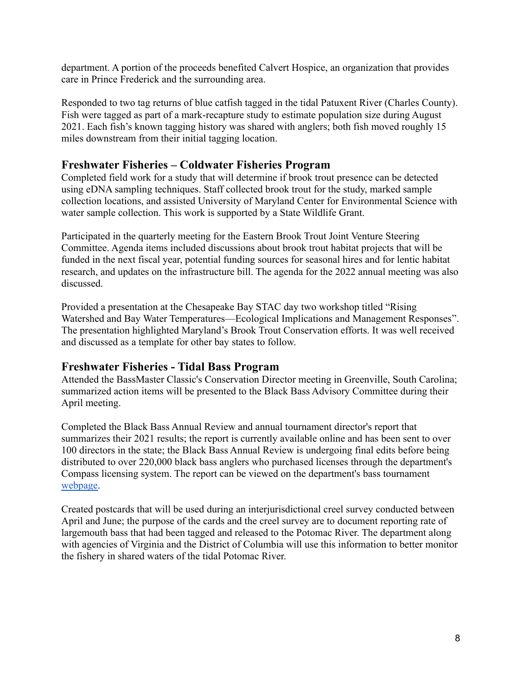department. A portion of the proceeds benefited Calvert Hospice, an organization that provides care in Prince Frederick and the surrounding area.

Responded to two tag returns of blue catfish tagged in the tidal Patuxent River (Charles County). Fish were tagged as part of a mark-recapture study to estimate population size during August 2021. Each fish's known tagging history was shared with anglers; both fish moved roughly 15 miles downstream from their initial tagging location.

### **Freshwater Fisheries – Coldwater Fisheries Program**

Completed field work for a study that will determine if brook trout presence can be detected using eDNA sampling techniques. Staff collected brook trout for the study, marked sample collection locations, and assisted University of Maryland Center for Environmental Science with water sample collection. This work is supported by a State Wildlife Grant.

Participated in the quarterly meeting for the Eastern Brook Trout Joint Venture Steering Committee. Agenda items included discussions about brook trout habitat projects that will be funded in the next fiscal year, potential funding sources for seasonal hires and for lentic habitat research, and updates on the infrastructure bill. The agenda for the 2022 annual meeting was also discussed.

Provided a presentation at the Chesapeake Bay STAC day two workshop titled "[Rising](https://www.chesapeake.org/stac/events/session-2-rising-watershed-and-bay-water-temperatures-e2-80-94ecological-implications-and-management-responses/) [Watershed and Bay Water Temperatures—Ecological Implications and Management Responses"](https://www.chesapeake.org/stac/events/session-2-rising-watershed-and-bay-water-temperatures-e2-80-94ecological-implications-and-management-responses/). The presentation highlighted Maryland's Brook Trout Conservation efforts. It was well received and discussed as a template for other bay states to follow.

#### **Freshwater Fisheries - Tidal Bass Program**

Attended the BassMaster Classic's Conservation Director meeting in Greenville, South Carolina; summarized action items will be presented to the Black Bass Advisory Committee during their April meeting.

Completed the Black Bass Annual Review and annual tournament director's report that summarizes their 2021 results; the report is currently available online and has been sent to over 100 directors in the state; the Black Bass Annual Review is undergoing final edits before being distributed to over 220,000 black bass anglers who purchased licenses through the department's Compass licensing system. The report can be viewed on the department's bass tournament [webpage.](https://dnr.maryland.gov/fisheries/pages/bass/ta.aspx)

Created postcards that will be used during an interjurisdictional creel survey conducted between April and June; the purpose of the cards and the creel survey are to document reporting rate of largemouth bass that had been tagged and released to the Potomac River. The department along with agencies of Virginia and the District of Columbia will use this information to better monitor the fishery in shared waters of the tidal Potomac River.